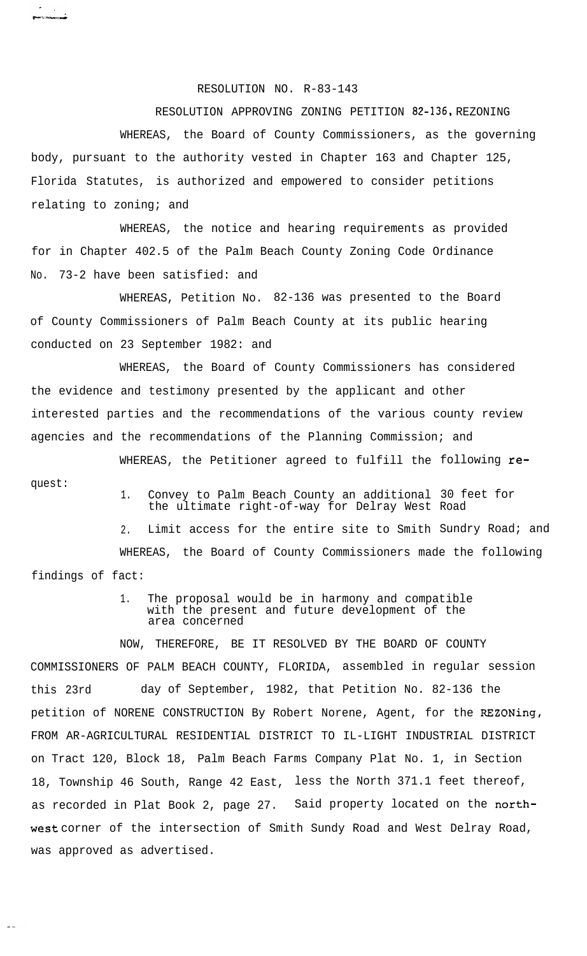RESOLUTION NO. R-83-143

RESOLUTION APPROVING ZONING PETITION 82-136, REZONING WHEREAS, the Board of County Commissioners, as the governing body, pursuant to the authority vested in Chapter 163 and Chapter 125, Florida Statutes, is authorized and empowered to consider petitions relating to zoning; and

WHEREAS, the notice and hearing requirements as provided for in Chapter 402.5 of the Palm Beach County Zoning Code Ordinance No. 73-2 have been satisfied: and

WHEREAS, Petition No. 82-136 was presented to the Board of County Commissioners of Palm Beach County at its public hearing conducted on 23 September 1982: and

WHEREAS, the Board of County Commissioners has considered the evidence and testimony presented by the applicant and other interested parties and the recommendations of the various county review agencies and the recommendations of the Planning Commission; and

quest:

 $\sim$ 

.<br>**. . . . . . . . . . . . . .** 

WHEREAS, the Petitioner agreed to fulfill the following re-

1. Convey to Palm Beach County an additional 30 feet for the ultimate right-of-way for Delray West Road

2. Limit access for the entire site to Smith Sundry Road; and WHEREAS, the Board of County Commissioners made the following findings of fact:

> 1. The proposal would be in harmony and compatible with the present and future development of the area concerned

NOW, THEREFORE, BE IT RESOLVED BY THE BOARD OF COUNTY COMMISSIONERS OF PALM BEACH COUNTY, FLORIDA, assembled in regular session this 23rd day of September, 1982, that Petition No. 82-136 the petition of NORENE CONSTRUCTION By Robert Norene, Agent, for the REZONing, FROM AR-AGRICULTURAL RESIDENTIAL DISTRICT TO IL-LIGHT INDUSTRIAL DISTRICT on Tract 120, Block 18, Palm Beach Farms Company Plat No. 1, in Section 18, Township 46 South, Range 42 East, less the North 371.1 feet thereof, as recorded in Plat Book 2, page 27. Said property located on the north-West corner of the intersection of Smith Sundy Road and West Delray Road, was approved as advertised.